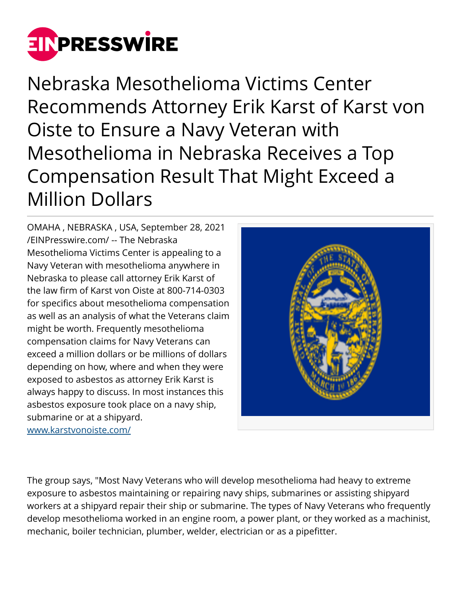

Nebraska Mesothelioma Victims Center Recommends Attorney Erik Karst of Karst von Oiste to Ensure a Navy Veteran with Mesothelioma in Nebraska Receives a Top Compensation Result That Might Exceed a Million Dollars

OMAHA , NEBRASKA , USA, September 28, 2021 [/EINPresswire.com/](http://www.einpresswire.com) -- The Nebraska Mesothelioma Victims Center is appealing to a Navy Veteran with mesothelioma anywhere in Nebraska to please call attorney Erik Karst of the law firm of Karst von Oiste at 800-714-0303 for specifics about mesothelioma compensation as well as an analysis of what the Veterans claim might be worth. Frequently mesothelioma compensation claims for Navy Veterans can exceed a million dollars or be millions of dollars depending on how, where and when they were exposed to asbestos as attorney Erik Karst is always happy to discuss. In most instances this asbestos exposure took place on a navy ship, submarine or at a shipyard. [www.karstvonoiste.com/](http://www.karstvonoiste.com/)



The group says, "Most Navy Veterans who will develop mesothelioma had heavy to extreme exposure to asbestos maintaining or repairing navy ships, submarines or assisting shipyard workers at a shipyard repair their ship or submarine. The types of Navy Veterans who frequently develop mesothelioma worked in an engine room, a power plant, or they worked as a machinist, mechanic, boiler technician, plumber, welder, electrician or as a pipefitter.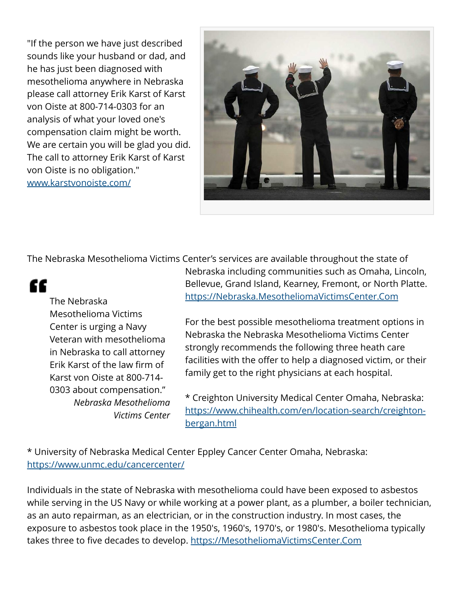"If the person we have just described sounds like your husband or dad, and he has just been diagnosed with mesothelioma anywhere in Nebraska please call attorney Erik Karst of Karst von Oiste at 800-714-0303 for an analysis of what your loved one's compensation claim might be worth. We are certain you will be glad you did. The call to attorney Erik Karst of Karst von Oiste is no obligation." [www.karstvonoiste.com/](http://www.karstvonoiste.com/)



The Nebraska Mesothelioma Victims Center's services are available throughout the state of

## "

The Nebraska Mesothelioma Victims Center is urging a Navy Veteran with mesothelioma in Nebraska to call attorney Erik Karst of the law firm of Karst von Oiste at 800-714- 0303 about compensation." *Nebraska Mesothelioma Victims Center* Nebraska including communities such as Omaha, Lincoln, Bellevue, Grand Island, Kearney, Fremont, or North Platte. <https://Nebraska.MesotheliomaVictimsCenter.Com>

For the best possible mesothelioma treatment options in Nebraska the Nebraska Mesothelioma Victims Center strongly recommends the following three heath care facilities with the offer to help a diagnosed victim, or their family get to the right physicians at each hospital.

\* Creighton University Medical Center Omaha, Nebraska: [https://www.chihealth.com/en/location-search/creighton](https://www.chihealth.com/en/location-search/creighton-bergan.html)[bergan.html](https://www.chihealth.com/en/location-search/creighton-bergan.html)

\* University of Nebraska Medical Center Eppley Cancer Center Omaha, Nebraska: <https://www.unmc.edu/cancercenter/>

Individuals in the state of Nebraska with mesothelioma could have been exposed to asbestos while serving in the US Navy or while working at a power plant, as a plumber, a boiler technician, as an auto repairman, as an electrician, or in the construction industry. In most cases, the exposure to asbestos took place in the 1950′s, 1960′s, 1970′s, or 1980′s. Mesothelioma typically takes three to five decades to develop.<https://MesotheliomaVictimsCenter.Com>